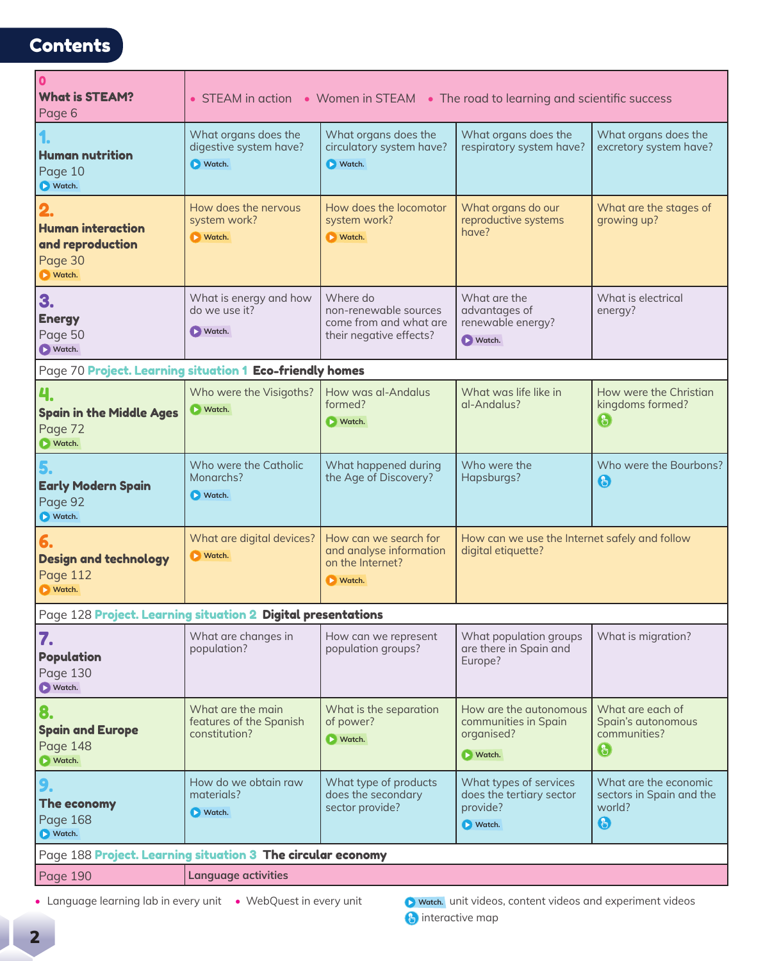## **Contents**

| 0<br><b>What is STEAM?</b><br>Page 6                                             | • STEAM in action • Women in STEAM • The road to learning and scientific success |                                                                                         |                                                                                                                                                                            |                                                                                                       |  |  |  |  |
|----------------------------------------------------------------------------------|----------------------------------------------------------------------------------|-----------------------------------------------------------------------------------------|----------------------------------------------------------------------------------------------------------------------------------------------------------------------------|-------------------------------------------------------------------------------------------------------|--|--|--|--|
| <b>Human nutrition</b><br>Page 10<br>Watch.                                      | What organs does the<br>digestive system have?<br>Watch.                         | What organs does the<br>circulatory system have?<br>Watch.                              | What organs does the<br>respiratory system have?                                                                                                                           | What organs does the<br>excretory system have?                                                        |  |  |  |  |
| 2.<br><b>Human interaction</b><br>and reproduction<br>Page 30<br><b>D</b> Watch. | How does the nervous<br>system work?<br><b>N</b> utch.                           | How does the locomotor<br>system work?<br><b>N</b> Watch.                               | What organs do our<br>reproductive systems<br>have?                                                                                                                        | What are the stages of<br>growing up?                                                                 |  |  |  |  |
| 3.<br><b>Energy</b><br>Page 50<br>Natch.                                         | What is energy and how<br>do we use it?<br>Natch.                                | Where do<br>non-renewable sources<br>come from and what are<br>their negative effects?  | What are the<br>advantages of<br>renewable energy?<br><b>Natch.</b>                                                                                                        | What is electrical<br>energy?                                                                         |  |  |  |  |
| Page 70 Project. Learning situation 1 Eco-friendly homes                         |                                                                                  |                                                                                         |                                                                                                                                                                            |                                                                                                       |  |  |  |  |
| <b>Spain in the Middle Ages</b><br>Page 72<br>Natch.                             | Who were the Visigoths?<br><b>D</b> Watch.                                       | How was al-Andalus<br>formed?<br>Natch.                                                 | What was life like in<br>al-Andalus?                                                                                                                                       | How were the Christian<br>kingdoms formed?<br>$\mathbb{C}^n$                                          |  |  |  |  |
| 5.<br><b>Early Modern Spain</b><br>Page 92<br>Watch.                             | Who were the Catholic<br>Monarchs?<br><b>D</b> Watch.                            | What happened during<br>the Age of Discovery?                                           | Who were the<br>Hapsburgs?                                                                                                                                                 | Who were the Bourbons?<br>$\bigodot$                                                                  |  |  |  |  |
| 6.<br><b>Design and technology</b><br>Page 112<br><b>D</b> Watch.                | What are digital devices?<br><b>N</b> utch.                                      | How can we search for<br>and analyse information<br>on the Internet?<br><b>N</b> Watch. | How can we use the Internet safely and follow<br>digital etiquette?                                                                                                        |                                                                                                       |  |  |  |  |
| Page 128 Project. Learning situation 2 Digital presentations                     |                                                                                  |                                                                                         |                                                                                                                                                                            |                                                                                                       |  |  |  |  |
| 7.<br><b>Population</b><br>Page 130<br>Natch.                                    | What are changes in<br>population?                                               | How can we represent<br>population groups?                                              | What population groups<br>are there in Spain and<br>Europe?                                                                                                                | What is migration?                                                                                    |  |  |  |  |
| 8.<br><b>Spain and Europe</b><br>Page 148<br>Natch.                              | What are the main<br>features of the Spanish<br>constitution?                    | What is the separation<br>of power?<br>I Watch.                                         | How are the autonomous<br>What are each of<br>communities in Spain<br>Spain's autonomous<br>organised?<br>communities?<br>$\begin{pmatrix} 0 \\ 0 \end{pmatrix}$<br>Natch. |                                                                                                       |  |  |  |  |
| 9.<br>The economy<br>Page 168<br>Watch.                                          | How do we obtain raw<br>materials?<br><b>D</b> Watch.                            | What type of products<br>does the secondary<br>sector provide?                          | What types of services<br>does the tertiary sector<br>provide?<br>Watch.                                                                                                   | What are the economic<br>sectors in Spain and the<br>world?<br>$\begin{pmatrix} 0 \\ 0 \end{pmatrix}$ |  |  |  |  |
| Page 188 Project. Learning situation 3 The circular economy                      |                                                                                  |                                                                                         |                                                                                                                                                                            |                                                                                                       |  |  |  |  |
| Page 190                                                                         | <b>Language activities</b>                                                       |                                                                                         |                                                                                                                                                                            |                                                                                                       |  |  |  |  |

• Language learning lab in every unit • WebQuest in every unit **D** watch. unit videos, content videos and experiment videos

**b** interactive map